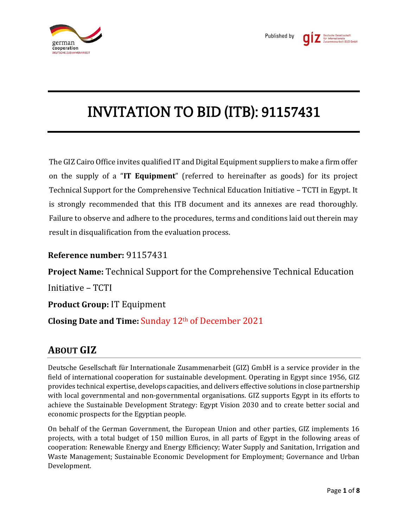

# INVITATION TO BID (ITB): 91157431

The GIZ Cairo Office invites qualified IT and Digital Equipment suppliers to make a firm offer on the supply of a "**IT Equipment**" (referred to hereinafter as goods) for its project Technical Support for the Comprehensive Technical Education Initiative – TCTI in Egypt. It is strongly recommended that this ITB document and its annexes are read thoroughly. Failure to observe and adhere to the procedures, terms and conditions laid out therein may result in disqualification from the evaluation process.

## **Reference number:** 91157431

**Project Name:** Technical Support for the Comprehensive Technical Education

Initiative – TCTI

**Product Group:** IT Equipment

**Closing Date and Time:** Sunday 12th of December 2021

## **ABOUT GIZ**

Deutsche Gesellschaft für Internationale Zusammenarbeit (GIZ) GmbH is a service provider in the field of international cooperation for sustainable development. Operating in Egypt since 1956, GIZ provides technical expertise, develops capacities, and delivers effective solutions in close partnership with local governmental and non-governmental organisations. GIZ supports Egypt in its efforts to achieve the Sustainable Development Strategy: Egypt Vision 2030 and to create better social and economic prospects for the Egyptian people.

On behalf of the German Government, the European Union and other parties, GIZ implements 16 projects, with a total budget of 150 million Euros, in all parts of Egypt in the following areas of cooperation: Renewable Energy and Energy Efficiency; Water Supply and Sanitation, Irrigation and Waste Management; Sustainable Economic Development for Employment; Governance and Urban Development.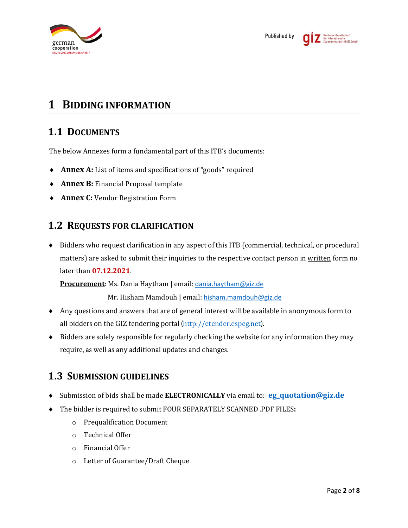

## **1 BIDDING INFORMATION**

## **1.1 DOCUMENTS**

The below Annexes form a fundamental part of this ITB's documents:

- **Annex A:** List of items and specifications of "goods" required
- **Annex B:** Financial Proposal template
- **Annex C:** Vendor Registration Form

## **1.2 REQUESTS FOR CLARIFICATION**

 Bidders who request clarification in any aspect of this ITB (commercial, technical, or procedural matters) are asked to submit their inquiries to the respective contact person in written form no later than **07.12.2021**.

**Procurement**: Ms. Dania Haytham **|** email: [dania.haytham@giz.de](mailto:dania.haytham@giz.de)

Mr. Hisham Mamdouh **|** email: [hisham.mamdouh@giz.de](mailto:hisham.mamdouh@giz.de)

- Any questions and answers that are of general interest will be available in anonymous form to all bidders on the GIZ tendering portal (http://etender.espeg.net).
- Bidders are solely responsible for regularly checking the website for any information they may require, as well as any additional updates and changes.

## **1.3 SUBMISSION GUIDELINES**

- Submission of bids shall be made **ELECTRONICALLY** via email to: **[eg\\_quotation@giz.de](mailto:eg_quotation@giz.de)**
- The bidder is required to submit FOUR SEPARATELY SCANNED .PDF FILES**:**
	- o Prequalification Document
	- o Technical Offer
	- o Financial Offer
	- o Letter of Guarantee/Draft Cheque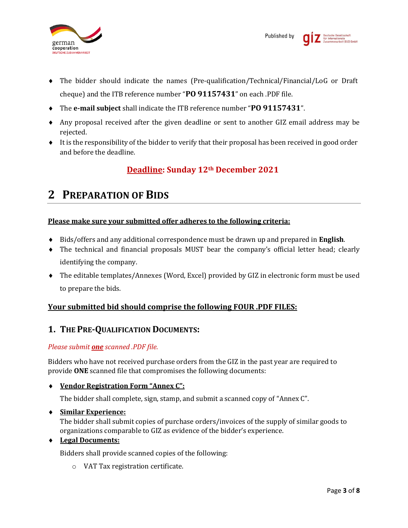

- The bidder should indicate the names (Pre-qualification/Technical/Financial/LoG or Draft cheque) and the ITB reference number "**PO 91157431**" on each .PDF file.
- The **e-mail subject** shall indicate the ITB reference number "**PO 91157431**".
- Any proposal received after the given deadline or sent to another GIZ email address may be rejected.
- It is the responsibility of the bidder to verify that their proposal has been received in good order and before the deadline.

## **Deadline: Sunday 12th December 2021**

## **2 PREPARATION OF BIDS**

### **Please make sure your submitted offer adheres to the following criteria:**

- Bids/offers and any additional correspondence must be drawn up and prepared in **English**.
- The technical and financial proposals MUST bear the company's official letter head; clearly identifying the company.
- The editable templates/Annexes (Word, Excel) provided by GIZ in electronic form must be used to prepare the bids.

### **Your submitted bid should comprise the following FOUR .PDF FILES:**

## **1. THE PRE-QUALIFICATION DOCUMENTS:**

### *Please submit one scanned .PDF file.*

Bidders who have not received purchase orders from the GIZ in the past year are required to provide **ONE** scanned file that compromises the following documents:

### **Vendor Registration Form "Annex C":**

The bidder shall complete, sign, stamp, and submit a scanned copy of "Annex C".

### **Similar Experience:**

The bidder shall submit copies of purchase orders/invoices of the supply of similar goods to organizations comparable to GIZ as evidence of the bidder's experience.

### **Legal Documents:**

Bidders shall provide scanned copies of the following:

o VAT Tax registration certificate.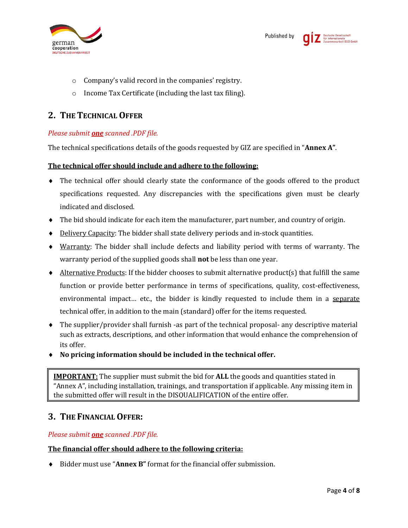

- o Company's valid record in the companies' registry.
- o Income Tax Certificate (including the last tax filing).

## **2. THE TECHNICAL OFFER**

### *Please submit one scanned .PDF file.*

The technical specifications details of the goods requested by GIZ are specified in "**Annex A"**.

#### **The technical offer should include and adhere to the following:**

- The technical offer should clearly state the conformance of the goods offered to the product specifications requested. Any discrepancies with the specifications given must be clearly indicated and disclosed.
- The bid should indicate for each item the manufacturer, part number, and country of origin.
- $\bullet$  Delivery Capacity: The bidder shall state delivery periods and in-stock quantities.
- Warranty: The bidder shall include defects and liability period with terms of warranty. The warranty period of the supplied goods shall **not** be less than one year.
- $\blacklozenge$  Alternative Products: If the bidder chooses to submit alternative product(s) that fulfill the same function or provide better performance in terms of specifications, quality, cost-effectiveness, environmental impact… etc., the bidder is kindly requested to include them in a separate technical offer, in addition to the main (standard) offer for the items requested.
- The supplier/provider shall furnish -as part of the technical proposal- any descriptive material such as extracts, descriptions, and other information that would enhance the comprehension of its offer.
- **No pricing information should be included in the technical offer.**

**IMPORTANT:** The supplier must submit the bid for **ALL** the goods and quantities stated in "Annex A", including installation, trainings, and transportation if applicable. Any missing item in the submitted offer will result in the DISQUALIFICATION of the entire offer.

## **3. THE FINANCIAL OFFER:**

### *Please submit one scanned .PDF file.*

### **The financial offer should adhere to the following criteria:**

Bidder must use "**Annex B"** format for the financial offer submission.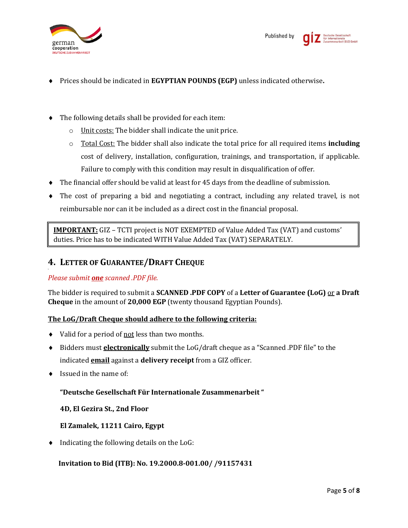

- Prices should be indicated in **EGYPTIAN POUNDS (EGP)** unless indicated otherwise**.**
- The following details shall be provided for each item:
	- o Unit costs: The bidder shall indicate the unit price.
	- o Total Cost: The bidder shall also indicate the total price for all required items **including** cost of delivery, installation, configuration, trainings, and transportation, if applicable. Failure to comply with this condition may result in disqualification of offer.
- The financial offer should be valid at least for 45 days from the deadline of submission.
- The cost of preparing a bid and negotiating a contract, including any related travel, is not reimbursable nor can it be included as a direct cost in the financial proposal.

**IMPORTANT:** GIZ – TCTI project is NOT EXEMPTED of Value Added Tax (VAT) and customs' duties. Price has to be indicated WITH Value Added Tax (VAT) SEPARATELY.

### **4. LETTER OF GUARANTEE/DRAFT CHEQUE**

#### *Please submit one scanned .PDF file.*

The bidder is required to submit a **SCANNED .PDF COPY** of a **Letter of Guarantee (LoG)** or **a Draft Cheque** in the amount of **20,000 EGP** (twenty thousand Egyptian Pounds).

#### **The LoG/Draft Cheque should adhere to the following criteria:**

- Valid for a period of not less than two months.
- Bidders must **electronically** submit the LoG/draft cheque as a "Scanned .PDF file" to the indicated **email** against a **delivery receipt** from a GIZ officer.
- $\bullet$  Issued in the name of:

### **"Deutsche Gesellschaft Für Internationale Zusammenarbeit "**

**4D, El Gezira St., 2nd Floor**

#### **El Zamalek, 11211 Cairo, Egypt**

 $\bullet$  Indicating the following details on the LoG:

#### **Invitation to Bid (ITB): No. 19.2000.8-001.00/ /91157431**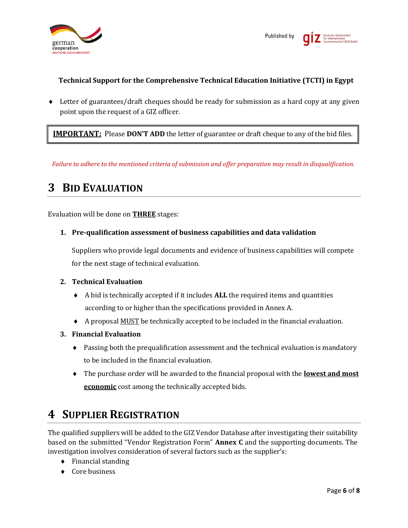

### **Technical Support for the Comprehensive Technical Education Initiative (TCTI) in Egypt**

 Letter of guarantees/draft cheques should be ready for submission as a hard copy at any given point upon the request of a GIZ officer.

**IMPORTANT:** Please **DON'T ADD** the letter of guarantee or draft cheque to any of the bid files.

*Failure to adhere to the mentioned criteria of submission and offer preparation may result in disqualification.*

## **3 BID EVALUATION**

Evaluation will be done on **THREE** stages:

**1. Pre-qualification assessment of business capabilities and data validation**

Suppliers who provide legal documents and evidence of business capabilities will compete for the next stage of technical evaluation.

#### **2. Technical Evaluation**

- A bid is technically accepted if it includes **ALL** the required items and quantities according to or higher than the specifications provided in Annex A.
- A proposal MUST be technically accepted to be included in the financial evaluation.
- **3. Financial Evaluation**
	- Passing both the prequalification assessment and the technical evaluation is mandatory to be included in the financial evaluation.
	- The purchase order will be awarded to the financial proposal with the **lowest and most economic** cost among the technically accepted bids.

## **4 SUPPLIER REGISTRATION**

The qualified suppliers will be added to the GIZ Vendor Database after investigating their suitability based on the submitted "Vendor Registration Form" **Annex C** and the supporting documents. The investigation involves consideration of several factors such as the supplier's:

- $\bullet$  Financial standing
- ◆ Core business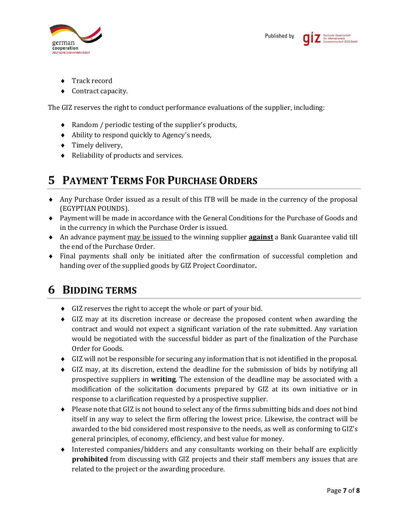

- Track record
- ◆ Contract capacity.

The GIZ reserves the right to conduct performance evaluations of the supplier, including:

- Random / periodic testing of the supplier's products,
- Ability to respond quickly to Agency's needs,
- $\triangleleft$  Timely delivery,
- ◆ Reliability of products and services.

## **5 PAYMENT TERMS FOR PURCHASE ORDERS**

- Any Purchase Order issued as a result of this ITB will be made in the currency of the proposal (EGYPTIAN POUNDS).
- Payment will be made in accordance with the General Conditions for the Purchase of Goods and in the currency in which the Purchase Order is issued.
- An advance payment may be issued to the winning supplier **against** a Bank Guarantee valid till the end of the Purchase Order.
- Final payments shall only be initiated after the confirmation of successful completion and handing over of the supplied goods by GIZ Project Coordinator**.**

## **6 BIDDING TERMS**

- GIZ reserves the right to accept the whole or part of your bid.
- GIZ may at its discretion increase or decrease the proposed content when awarding the contract and would not expect a significant variation of the rate submitted. Any variation would be negotiated with the successful bidder as part of the finalization of the Purchase Order for Goods.
- GIZ will not be responsible for securing any information that is not identified in the proposal.
- GIZ may, at its discretion, extend the deadline for the submission of bids by notifying all prospective suppliers in **writing**. The extension of the deadline may be associated with a modification of the solicitation documents prepared by GIZ at its own initiative or in response to a clarification requested by a prospective supplier.
- $\bullet$  Please note that GIZ is not bound to select any of the firms submitting bids and does not bind itself in any way to select the firm offering the lowest price. Likewise, the contract will be awarded to the bid considered most responsive to the needs, as well as conforming to GIZ's general principles, of economy, efficiency, and best value for money.
- Interested companies/bidders and any consultants working on their behalf are explicitly **prohibited** from discussing with GIZ projects and their staff members any issues that are related to the project or the awarding procedure.